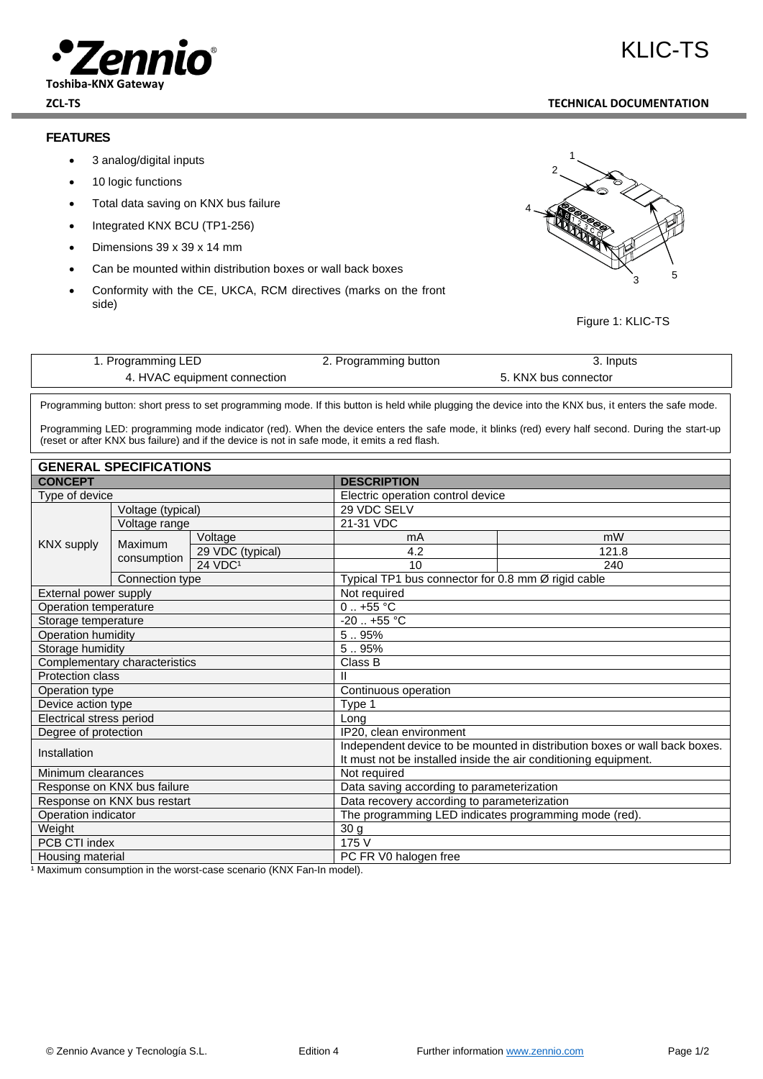

#### **ZCL-TS TECHNICAL DOCUMENTATION**

## **FEATURES**

- 3 analog/digital inputs
- 10 logic functions
- Total data saving on KNX bus failure
- Integrated KNX BCU (TP1-256)
- Dimensions 39 x 39 x 14 mm
- Can be mounted within distribution boxes or wall back boxes
- Conformity with the CE, UKCA, RCM directives (marks on the front side)



Figure 1: KLIC-TS

| 1. Programming LED           | 2. Programming button | . Inputs             |
|------------------------------|-----------------------|----------------------|
| 4. HVAC equipment connection |                       | 5. KNX bus connector |

ender and the programming button: short press to set programming mode. If this button is held while plugging the device into the KNX bus, it enters the safe mode.

Programming LED: programming mode indicator (red). When the device enters the safe mode, it blinks (red) every half second. During the start-up (reset or after KNX bus failure) and if the device is not in safe mode, it emits a red flash.

| <b>GENERAL SPECIFICATIONS</b> |                             |                                                                            |                                                                 |                                                    |  |  |
|-------------------------------|-----------------------------|----------------------------------------------------------------------------|-----------------------------------------------------------------|----------------------------------------------------|--|--|
| <b>CONCEPT</b>                |                             | <b>DESCRIPTION</b>                                                         |                                                                 |                                                    |  |  |
| Type of device                |                             |                                                                            | Electric operation control device                               |                                                    |  |  |
| Voltage (typical)             |                             | 29 VDC SELV                                                                |                                                                 |                                                    |  |  |
|                               | Voltage range               |                                                                            | 21-31 VDC                                                       |                                                    |  |  |
|                               | Maximum                     | Voltage                                                                    | mA                                                              | mW                                                 |  |  |
| <b>KNX supply</b>             |                             | 29 VDC (typical)                                                           | 4.2                                                             | 121.8                                              |  |  |
|                               | consumption                 | $24$ VDC <sup>1</sup>                                                      | 10                                                              | 240                                                |  |  |
|                               | Connection type             |                                                                            |                                                                 | Typical TP1 bus connector for 0.8 mm Ø rigid cable |  |  |
| External power supply         |                             | Not required                                                               |                                                                 |                                                    |  |  |
| Operation temperature         |                             | $0.1 + 55$ °C                                                              |                                                                 |                                                    |  |  |
| Storage temperature           |                             | $-20$ $+55$ °C                                                             |                                                                 |                                                    |  |  |
| Operation humidity            |                             |                                                                            | 5.95%                                                           |                                                    |  |  |
| Storage humidity              |                             | 5.95%                                                                      |                                                                 |                                                    |  |  |
| Complementary characteristics |                             | Class B                                                                    |                                                                 |                                                    |  |  |
| Protection class              |                             | Ш                                                                          |                                                                 |                                                    |  |  |
| Operation type                |                             | Continuous operation                                                       |                                                                 |                                                    |  |  |
| Device action type            |                             | Type 1                                                                     |                                                                 |                                                    |  |  |
| Electrical stress period      |                             | Long                                                                       |                                                                 |                                                    |  |  |
| Degree of protection          |                             | IP20, clean environment                                                    |                                                                 |                                                    |  |  |
| Installation                  |                             | Independent device to be mounted in distribution boxes or wall back boxes. |                                                                 |                                                    |  |  |
|                               |                             |                                                                            | It must not be installed inside the air conditioning equipment. |                                                    |  |  |
| Minimum clearances            |                             |                                                                            | Not required                                                    |                                                    |  |  |
|                               | Response on KNX bus failure |                                                                            | Data saving according to parameterization                       |                                                    |  |  |
| Response on KNX bus restart   |                             | Data recovery according to parameterization                                |                                                                 |                                                    |  |  |
| Operation indicator           |                             |                                                                            | The programming LED indicates programming mode (red).           |                                                    |  |  |
| Weight                        |                             | 30 <sub>g</sub>                                                            |                                                                 |                                                    |  |  |
| PCB CTI index                 |                             | 175 V                                                                      |                                                                 |                                                    |  |  |
| Housing material              |                             | PC FR V0 halogen free                                                      |                                                                 |                                                    |  |  |

<sup>1</sup> Maximum consumption in the worst-case scenario (KNX Fan-In model).

# KI IC-TS